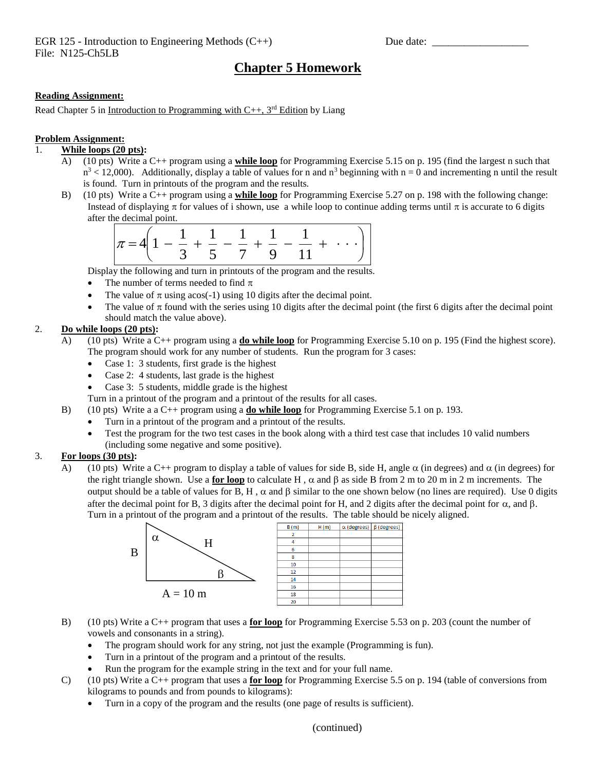# **Chapter 5 Homework**

#### **Reading Assignment:**

Read Chapter 5 in Introduction to Programming with  $C_{++}$ , 3<sup>rd</sup> Edition by Liang

#### **Problem Assignment:**

## 1. **While loops (20 pts):**

- A) (10 pts) Write a C++ program using a **while loop** for Programming Exercise 5.15 on p. 195 (find the largest n such that  $n^3$  < 12,000). Additionally, display a table of values for n and  $n^3$  beginning with n = 0 and incrementing n until the result is found. Turn in printouts of the program and the results.
- B) (10 pts) Write a C++ program using a **while loop** for Programming Exercise 5.27 on p. 198 with the following change: Instead of displaying  $\pi$  for values of i shown, use a while loop to continue adding terms until  $\pi$  is accurate to 6 digits after the decimal point.

| $\left  \pi = 4 \left( 1 - \frac{1}{2} + \frac{1}{2} - \frac{1}{2} + \frac{1}{2} - \frac{1}{2} + \cdots \right) \right $ |  |  |                                                          |  |
|--------------------------------------------------------------------------------------------------------------------------|--|--|----------------------------------------------------------|--|
|                                                                                                                          |  |  | $\begin{array}{ccccccccc}\n&3 &5 &7 &9 &11\n\end{array}$ |  |

Display the following and turn in printouts of the program and the results.

- The number of terms needed to find  $\pi$
- The value of  $\pi$  using acos(-1) using 10 digits after the decimal point.
- The value of  $\pi$  found with the series using 10 digits after the decimal point (the first 6 digits after the decimal point should match the value above).

## 2. **Do while loops (20 pts):**

- A) (10 pts) Write a C++ program using a **do while loop** for Programming Exercise 5.10 on p. 195 (Find the highest score). The program should work for any number of students. Run the program for 3 cases:
	- Case 1: 3 students, first grade is the highest
	- Case 2: 4 students, last grade is the highest
	- Case 3: 5 students, middle grade is the highest
	- Turn in a printout of the program and a printout of the results for all cases.
- B) (10 pts) Write a a C++ program using a **do while loop** for Programming Exercise 5.1 on p. 193.
	- Turn in a printout of the program and a printout of the results.
	- Test the program for the two test cases in the book along with a third test case that includes 10 valid numbers (including some negative and some positive).

# 3. **For loops (30 pts):**

A) (10 pts) Write a C++ program to display a table of values for side B, side H, angle  $\alpha$  (in degrees) and  $\alpha$  (in degrees) for the right triangle shown. Use a **for loop** to calculate H,  $\alpha$  and  $\beta$  as side B from 2 m to 20 m in 2 m increments. The output should be a table of values for B, H,  $\alpha$  and  $\beta$  similar to the one shown below (no lines are required). Use 0 digits after the decimal point for B, 3 digits after the decimal point for H, and 2 digits after the decimal point for  $\alpha$ , and  $\beta$ . Turn in a printout of the program and a printout of the results. The table should be nicely aligned.



- B) (10 pts) Write a C++ program that uses a **for loop** for Programming Exercise 5.53 on p. 203 (count the number of vowels and consonants in a string).
	- The program should work for any string, not just the example (Programming is fun).
	- Turn in a printout of the program and a printout of the results.
	- Run the program for the example string in the text and for your full name.
- C) (10 pts) Write a C++ program that uses a **for loop** for Programming Exercise 5.5 on p. 194 (table of conversions from kilograms to pounds and from pounds to kilograms):
	- Turn in a copy of the program and the results (one page of results is sufficient).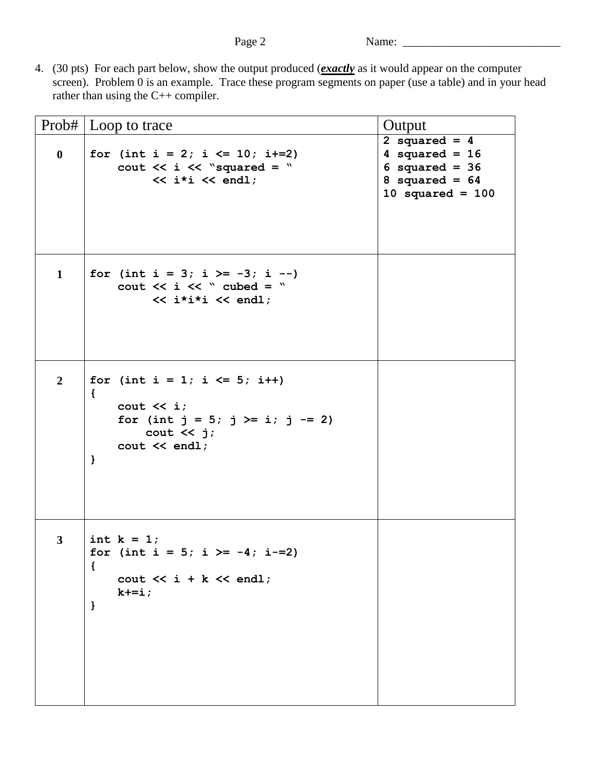4. (30 pts) For each part below, show the output produced (*exactly* as it would appear on the computer screen). Problem 0 is an example. Trace these program segments on paper (use a table) and in your head rather than using the C++ compiler.

|                | Prob#   Loop to trace                                                                                                                                                                                | Output                                                                                            |  |
|----------------|------------------------------------------------------------------------------------------------------------------------------------------------------------------------------------------------------|---------------------------------------------------------------------------------------------------|--|
| $\bf{0}$       | for (int i = 2; i $\le$ 10; i+=2)<br>cout $\lt\lt i \lt\lt$ "squared = "<br>$\lt\lt$ i*i $\lt\lt$ endl;                                                                                              | 2 squared = $4$<br>4 squared = $16$<br>6 squared = $36$<br>8 squared = $64$<br>10 squared = $100$ |  |
| $\mathbf{1}$   | for (int i = 3; i >= -3; i --)<br>cout $<<$ i $<<$ " cubed = "<br>$\lt\lt$ i*i*i $\lt\lt$ endl;                                                                                                      |                                                                                                   |  |
| $\overline{2}$ | for (int $i = 1$ ; $i \le 5$ ; $i++$ )<br>$\left\{ \right.$<br>cout $\lt\lt i$ ;<br>for (int $j = 5$ ; $j \ge i$ ; $j == 2$ )<br>cout $\lt\lt j$ ;<br>$\text{cut} \ll \text{endl}$ ;<br>$\mathbf{L}$ |                                                                                                   |  |
| $\mathbf{3}$   | int $k = 1$ ;<br>for (int i = 5; i >= -4; i-=2)<br>$\mathcal{L}$<br>cout $\lt\lt i$ + k $\lt\lt$ endl;<br>$k+=i;$<br>$\mathbf{)}$                                                                    |                                                                                                   |  |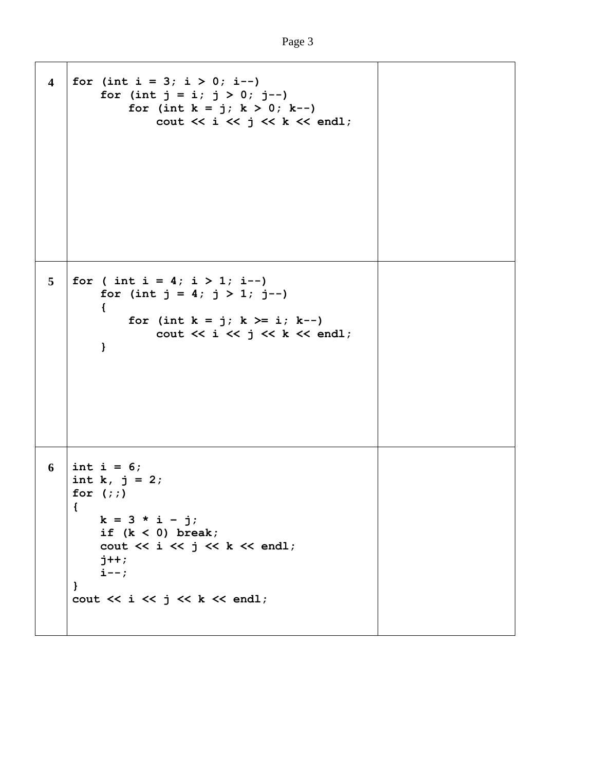```
4 \int for (int i = 3; i > 0; i--)
        for (int j = i; j > 0; j = -1)
             for (int k = j; k > 0; k--)
                 cout \ll i \ll j \ll k \ll endl;
5 \mid for ( int i = 4; i > 1; i--)
        for (int j = 4; j > 1; j = -)
         {
             for (int k = j; k > = i; k--)
                 cout << i << j << k << endl;
         }
6 \ \ \ \ \ \ \ \ \ \ \ \ \ \ \ 6;int k, j = 2;
   for (;;)
    {
        k = 3 * i - j; if (k < 0) break;
        cout << i << j << k << endl;
         j++;
         i--;
    }
   cout << i << j << k << endl;
```